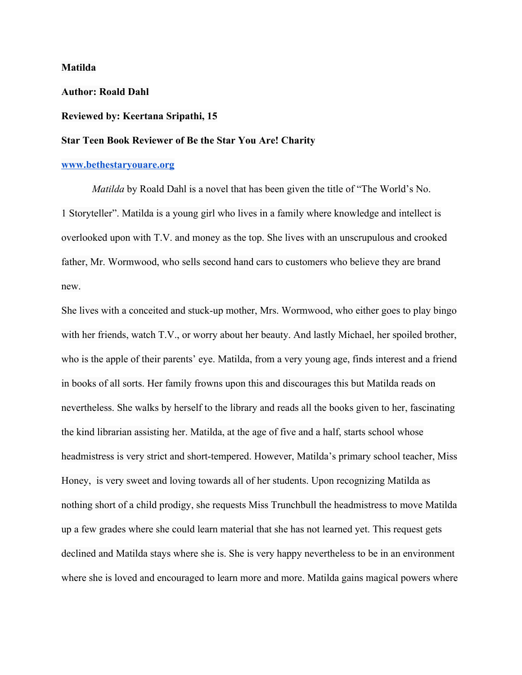#### **Matilda**

**Author: Roald Dahl**

## **Reviewed by: Keertana Sripathi, 15**

# **Star Teen Book Reviewer of Be the Star You Are! Charity**

### **[www.bethestaryouare.org](http://www.bethestaryouare.org/)**

*Matilda* by Roald Dahl is a novel that has been given the title of "The World's No. 1 Storyteller". Matilda is a young girl who lives in a family where knowledge and intellect is overlooked upon with T.V. and money as the top. She lives with an unscrupulous and crooked father, Mr. Wormwood, who sells second hand cars to customers who believe they are brand new.

She lives with a conceited and stuck-up mother, Mrs. Wormwood, who either goes to play bingo with her friends, watch T.V., or worry about her beauty. And lastly Michael, her spoiled brother, who is the apple of their parents' eye. Matilda, from a very young age, finds interest and a friend in books of all sorts. Her family frowns upon this and discourages this but Matilda reads on nevertheless. She walks by herself to the library and reads all the books given to her, fascinating the kind librarian assisting her. Matilda, at the age of five and a half, starts school whose headmistress is very strict and short-tempered. However, Matilda's primary school teacher, Miss Honey, is very sweet and loving towards all of her students. Upon recognizing Matilda as nothing short of a child prodigy, she requests Miss Trunchbull the headmistress to move Matilda up a few grades where she could learn material that she has not learned yet. This request gets declined and Matilda stays where she is. She is very happy nevertheless to be in an environment where she is loved and encouraged to learn more and more. Matilda gains magical powers where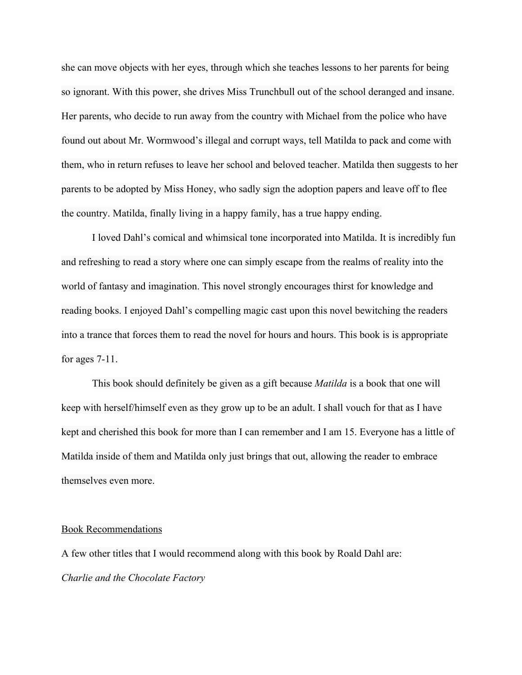she can move objects with her eyes, through which she teaches lessons to her parents for being so ignorant. With this power, she drives Miss Trunchbull out of the school deranged and insane. Her parents, who decide to run away from the country with Michael from the police who have found out about Mr. Wormwood's illegal and corrupt ways, tell Matilda to pack and come with them, who in return refuses to leave her school and beloved teacher. Matilda then suggests to her parents to be adopted by Miss Honey, who sadly sign the adoption papers and leave off to flee the country. Matilda, finally living in a happy family, has a true happy ending.

I loved Dahl's comical and whimsical tone incorporated into Matilda. It is incredibly fun and refreshing to read a story where one can simply escape from the realms of reality into the world of fantasy and imagination. This novel strongly encourages thirst for knowledge and reading books. I enjoyed Dahl's compelling magic cast upon this novel bewitching the readers into a trance that forces them to read the novel for hours and hours. This book is is appropriate for ages 7-11.

This book should definitely be given as a gift because *Matilda* is a book that one will keep with herself/himself even as they grow up to be an adult. I shall vouch for that as I have kept and cherished this book for more than I can remember and I am 15. Everyone has a little of Matilda inside of them and Matilda only just brings that out, allowing the reader to embrace themselves even more.

### Book Recommendations

A few other titles that I would recommend along with this book by Roald Dahl are: *Charlie and the Chocolate Factory*